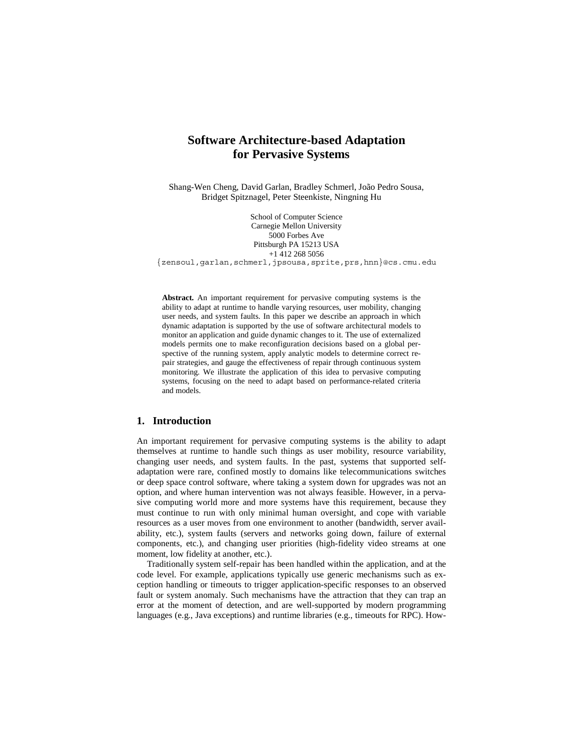# **Software Architecture-based Adaptation for Pervasive Systems**

Shang-Wen Cheng, David Garlan, Bradley Schmerl, João Pedro Sousa, Bridget Spitznagel, Peter Steenkiste, Ningning Hu

School of Computer Science Carnegie Mellon University 5000 Forbes Ave Pittsburgh PA 15213 USA +1 412 268 5056 {zensoul,garlan,schmerl,jpsousa,sprite,prs,hnn}@cs.cmu.edu

**Abstract.** An important requirement for pervasive computing systems is the ability to adapt at runtime to handle varying resources, user mobility, changing user needs, and system faults. In this paper we describe an approach in which dynamic adaptation is supported by the use of software architectural models to monitor an application and guide dynamic changes to it. The use of externalized models permits one to make reconfiguration decisions based on a global perspective of the running system, apply analytic models to determine correct repair strategies, and gauge the effectiveness of repair through continuous system monitoring. We illustrate the application of this idea to pervasive computing systems, focusing on the need to adapt based on performance-related criteria and models.

## **1. Introduction**

An important requirement for pervasive computing systems is the ability to adapt themselves at runtime to handle such things as user mobility, resource variability, changing user needs, and system faults. In the past, systems that supported selfadaptation were rare, confined mostly to domains like telecommunications switches or deep space control software, where taking a system down for upgrades was not an option, and where human intervention was not always feasible. However, in a pervasive computing world more and more systems have this requirement, because they must continue to run with only minimal human oversight, and cope with variable resources as a user moves from one environment to another (bandwidth, server availability, etc.), system faults (servers and networks going down, failure of external components, etc.), and changing user priorities (high-fidelity video streams at one moment, low fidelity at another, etc.).

Traditionally system self-repair has been handled within the application, and at the code level. For example, applications typically use generic mechanisms such as exception handling or timeouts to trigger application-specific responses to an observed fault or system anomaly. Such mechanisms have the attraction that they can trap an error at the moment of detection, and are well-supported by modern programming languages (e.g., Java exceptions) and runtime libraries (e.g., timeouts for RPC). How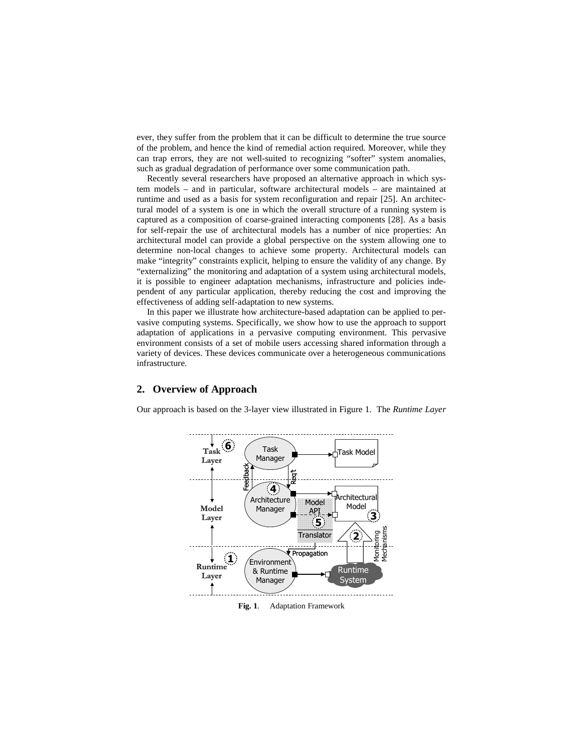ever, they suffer from the problem that it can be difficult to determine the true source of the problem, and hence the kind of remedial action required. Moreover, while they can trap errors, they are not well-suited to recognizing "softer" system anomalies, such as gradual degradation of performance over some communication path.

Recently several researchers have proposed an alternative approach in which system models – and in particular, software architectural models – are maintained at runtime and used as a basis for system reconfiguration and repair [25]. An architectural model of a system is one in which the overall structure of a running system is captured as a composition of coarse-grained interacting components [28]. As a basis for self-repair the use of architectural models has a number of nice properties: An architectural model can provide a global perspective on the system allowing one to determine non-local changes to achieve some property. Architectural models can make "integrity" constraints explicit, helping to ensure the validity of any change. By "externalizing" the monitoring and adaptation of a system using architectural models, it is possible to engineer adaptation mechanisms, infrastructure and policies independent of any particular application, thereby reducing the cost and improving the effectiveness of adding self-adaptation to new systems.

In this paper we illustrate how architecture-based adaptation can be applied to pervasive computing systems. Specifically, we show how to use the approach to support adaptation of applications in a pervasive computing environment. This pervasive environment consists of a set of mobile users accessing shared information through a variety of devices. These devices communicate over a heterogeneous communications infrastructure.

# **2. Overview of Approach**

Our approach is based on the 3-layer view illustrated in Figure 1. The *Runtime Layer*



**Fig. 1**. Adaptation Framework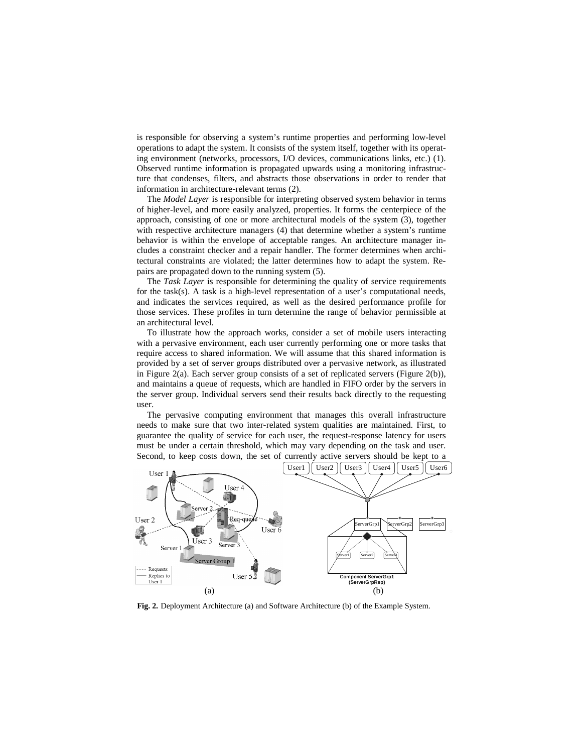is responsible for observing a system's runtime properties and performing low-level operations to adapt the system. It consists of the system itself, together with its operating environment (networks, processors, I/O devices, communications links, etc.) (1). Observed runtime information is propagated upwards using a monitoring infrastructure that condenses, filters, and abstracts those observations in order to render that information in architecture-relevant terms (2).

The *Model Layer* is responsible for interpreting observed system behavior in terms of higher-level, and more easily analyzed, properties. It forms the centerpiece of the approach, consisting of one or more architectural models of the system (3), together with respective architecture managers (4) that determine whether a system's runtime behavior is within the envelope of acceptable ranges. An architecture manager includes a constraint checker and a repair handler. The former determines when architectural constraints are violated; the latter determines how to adapt the system. Repairs are propagated down to the running system (5).

The *Task Layer* is responsible for determining the quality of service requirements for the task(s). A task is a high-level representation of a user's computational needs, and indicates the services required, as well as the desired performance profile for those services. These profiles in turn determine the range of behavior permissible at an architectural level.

To illustrate how the approach works, consider a set of mobile users interacting with a pervasive environment, each user currently performing one or more tasks that require access to shared information. We will assume that this shared information is provided by a set of server groups distributed over a pervasive network, as illustrated in Figure 2(a). Each server group consists of a set of replicated servers (Figure 2(b)), and maintains a queue of requests, which are handled in FIFO order by the servers in the server group. Individual servers send their results back directly to the requesting user.

The pervasive computing environment that manages this overall infrastructure needs to make sure that two inter-related system qualities are maintained. First, to guarantee the quality of service for each user, the request-response latency for users must be under a certain threshold, which may vary depending on the task and user. Second, to keep costs down, the set of currently active servers should be kept to a



**Fig. 2.** Deployment Architecture (a) and Software Architecture (b) of the Example System.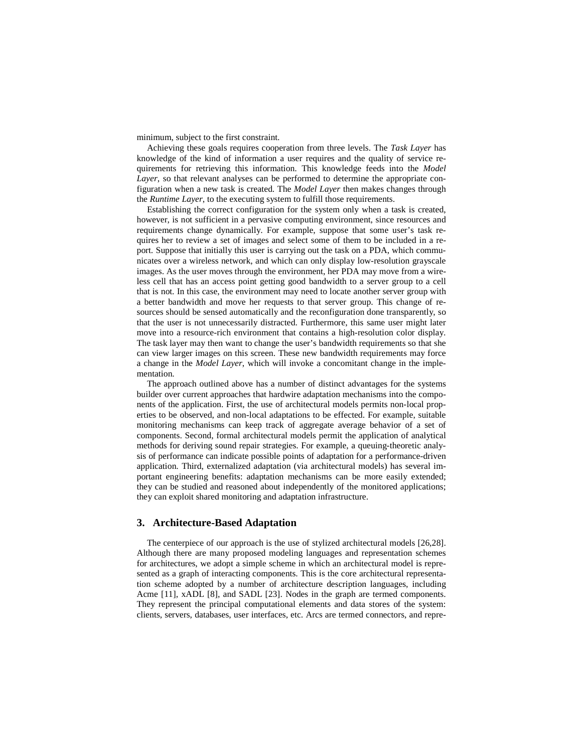minimum, subject to the first constraint.

Achieving these goals requires cooperation from three levels. The *Task Layer* has knowledge of the kind of information a user requires and the quality of service requirements for retrieving this information. This knowledge feeds into the *Model Layer*, so that relevant analyses can be performed to determine the appropriate configuration when a new task is created. The *Model Layer* then makes changes through the *Runtime Layer*, to the executing system to fulfill those requirements.

Establishing the correct configuration for the system only when a task is created, however, is not sufficient in a pervasive computing environment, since resources and requirements change dynamically. For example, suppose that some user's task requires her to review a set of images and select some of them to be included in a report. Suppose that initially this user is carrying out the task on a PDA, which communicates over a wireless network, and which can only display low-resolution grayscale images. As the user moves through the environment, her PDA may move from a wireless cell that has an access point getting good bandwidth to a server group to a cell that is not. In this case, the environment may need to locate another server group with a better bandwidth and move her requests to that server group. This change of resources should be sensed automatically and the reconfiguration done transparently, so that the user is not unnecessarily distracted. Furthermore, this same user might later move into a resource-rich environment that contains a high-resolution color display. The task layer may then want to change the user's bandwidth requirements so that she can view larger images on this screen. These new bandwidth requirements may force a change in the *Model Layer*, which will invoke a concomitant change in the implementation.

The approach outlined above has a number of distinct advantages for the systems builder over current approaches that hardwire adaptation mechanisms into the components of the application. First, the use of architectural models permits non-local properties to be observed, and non-local adaptations to be effected. For example, suitable monitoring mechanisms can keep track of aggregate average behavior of a set of components. Second, formal architectural models permit the application of analytical methods for deriving sound repair strategies. For example, a queuing-theoretic analysis of performance can indicate possible points of adaptation for a performance-driven application. Third, externalized adaptation (via architectural models) has several important engineering benefits: adaptation mechanisms can be more easily extended; they can be studied and reasoned about independently of the monitored applications; they can exploit shared monitoring and adaptation infrastructure.

### **3. Architecture-Based Adaptation**

The centerpiece of our approach is the use of stylized architectural models [26,28]. Although there are many proposed modeling languages and representation schemes for architectures, we adopt a simple scheme in which an architectural model is represented as a graph of interacting components. This is the core architectural representation scheme adopted by a number of architecture description languages, including Acme [11], xADL [8], and SADL [23]. Nodes in the graph are termed components. They represent the principal computational elements and data stores of the system: clients, servers, databases, user interfaces, etc. Arcs are termed connectors, and repre-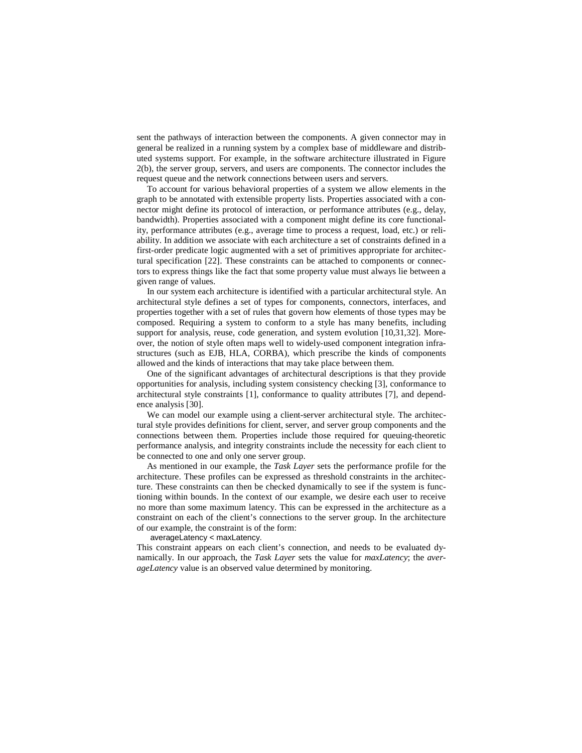sent the pathways of interaction between the components. A given connector may in general be realized in a running system by a complex base of middleware and distributed systems support. For example, in the software architecture illustrated in Figure 2(b), the server group, servers, and users are components. The connector includes the request queue and the network connections between users and servers.

To account for various behavioral properties of a system we allow elements in the graph to be annotated with extensible property lists. Properties associated with a connector might define its protocol of interaction, or performance attributes (e.g., delay, bandwidth). Properties associated with a component might define its core functionality, performance attributes (e.g., average time to process a request, load, etc.) or reliability. In addition we associate with each architecture a set of constraints defined in a first-order predicate logic augmented with a set of primitives appropriate for architectural specification [22]. These constraints can be attached to components or connectors to express things like the fact that some property value must always lie between a given range of values.

In our system each architecture is identified with a particular architectural style. An architectural style defines a set of types for components, connectors, interfaces, and properties together with a set of rules that govern how elements of those types may be composed. Requiring a system to conform to a style has many benefits, including support for analysis, reuse, code generation, and system evolution [10,31,32]. Moreover, the notion of style often maps well to widely-used component integration infrastructures (such as EJB, HLA, CORBA), which prescribe the kinds of components allowed and the kinds of interactions that may take place between them.

One of the significant advantages of architectural descriptions is that they provide opportunities for analysis, including system consistency checking [3], conformance to architectural style constraints [1], conformance to quality attributes [7], and dependence analysis [30].

We can model our example using a client-server architectural style. The architectural style provides definitions for client, server, and server group components and the connections between them. Properties include those required for queuing-theoretic performance analysis, and integrity constraints include the necessity for each client to be connected to one and only one server group.

As mentioned in our example, the *Task Layer* sets the performance profile for the architecture. These profiles can be expressed as threshold constraints in the architecture. These constraints can then be checked dynamically to see if the system is functioning within bounds. In the context of our example, we desire each user to receive no more than some maximum latency. This can be expressed in the architecture as a constraint on each of the client's connections to the server group. In the architecture of our example, the constraint is of the form:

averageLatency < maxLatency.

This constraint appears on each client's connection, and needs to be evaluated dynamically. In our approach, the *Task Layer* sets the value for *maxLatency*; the *averageLatency* value is an observed value determined by monitoring.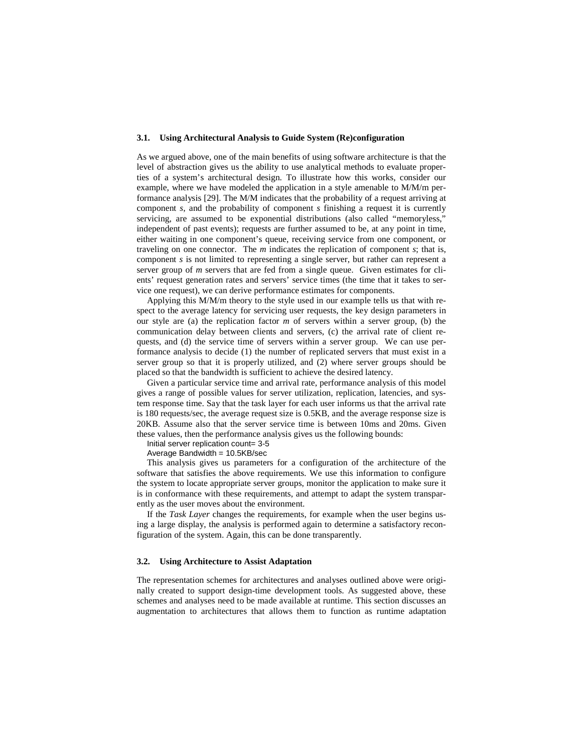#### **3.1. Using Architectural Analysis to Guide System (Re)configuration**

As we argued above, one of the main benefits of using software architecture is that the level of abstraction gives us the ability to use analytical methods to evaluate properties of a system's architectural design. To illustrate how this works, consider our example, where we have modeled the application in a style amenable to M/M/m performance analysis [29]. The M/M indicates that the probability of a request arriving at component *s*, and the probability of component *s* finishing a request it is currently servicing, are assumed to be exponential distributions (also called "memoryless," independent of past events); requests are further assumed to be, at any point in time, either waiting in one component's queue, receiving service from one component, or traveling on one connector. The *m* indicates the replication of component *s*; that is, component *s* is not limited to representing a single server, but rather can represent a server group of *m* servers that are fed from a single queue. Given estimates for clients' request generation rates and servers' service times (the time that it takes to service one request), we can derive performance estimates for components.

Applying this M/M/m theory to the style used in our example tells us that with respect to the average latency for servicing user requests, the key design parameters in our style are (a) the replication factor *m* of servers within a server group, (b) the communication delay between clients and servers, (c) the arrival rate of client requests, and (d) the service time of servers within a server group. We can use performance analysis to decide (1) the number of replicated servers that must exist in a server group so that it is properly utilized, and (2) where server groups should be placed so that the bandwidth is sufficient to achieve the desired latency.

Given a particular service time and arrival rate, performance analysis of this model gives a range of possible values for server utilization, replication, latencies, and system response time. Say that the task layer for each user informs us that the arrival rate is 180 requests/sec, the average request size is 0.5KB, and the average response size is 20KB. Assume also that the server service time is between 10ms and 20ms. Given these values, then the performance analysis gives us the following bounds:

Initial server replication count= 3-5

Average Bandwidth = 10.5KB/sec

This analysis gives us parameters for a configuration of the architecture of the software that satisfies the above requirements. We use this information to configure the system to locate appropriate server groups, monitor the application to make sure it is in conformance with these requirements, and attempt to adapt the system transparently as the user moves about the environment.

If the *Task Layer* changes the requirements, for example when the user begins using a large display, the analysis is performed again to determine a satisfactory reconfiguration of the system. Again, this can be done transparently.

#### **3.2. Using Architecture to Assist Adaptation**

The representation schemes for architectures and analyses outlined above were originally created to support design-time development tools. As suggested above, these schemes and analyses need to be made available at runtime. This section discusses an augmentation to architectures that allows them to function as runtime adaptation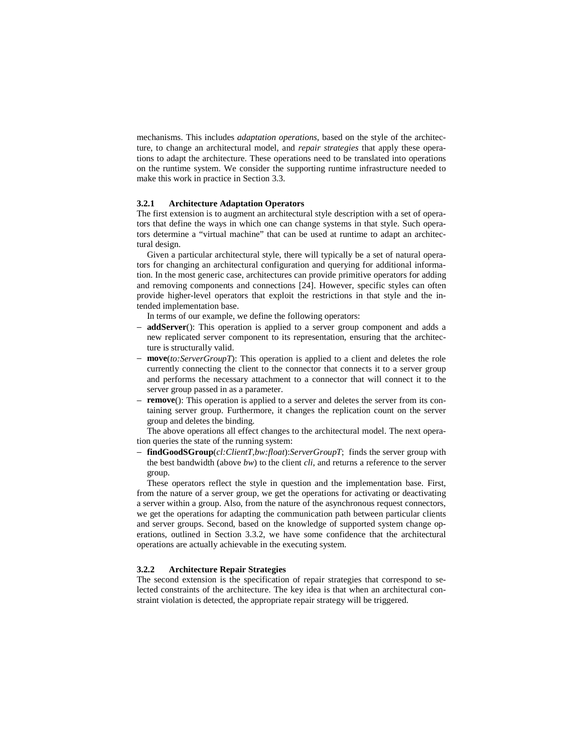mechanisms. This includes *adaptation operations*, based on the style of the architecture, to change an architectural model, and *repair strategies* that apply these operations to adapt the architecture. These operations need to be translated into operations on the runtime system. We consider the supporting runtime infrastructure needed to make this work in practice in Section 3.3.

### **3.2.1 Architecture Adaptation Operators**

The first extension is to augment an architectural style description with a set of operators that define the ways in which one can change systems in that style. Such operators determine a "virtual machine" that can be used at runtime to adapt an architectural design.

Given a particular architectural style, there will typically be a set of natural operators for changing an architectural configuration and querying for additional information. In the most generic case, architectures can provide primitive operators for adding and removing components and connections [24]. However, specific styles can often provide higher-level operators that exploit the restrictions in that style and the intended implementation base.

In terms of our example, we define the following operators:

- − **addServer**(): This operation is applied to a server group component and adds a new replicated server component to its representation, ensuring that the architecture is structurally valid.
- − **move**(*to:ServerGroupT*): This operation is applied to a client and deletes the role currently connecting the client to the connector that connects it to a server group and performs the necessary attachment to a connector that will connect it to the server group passed in as a parameter.
- − **remove**(): This operation is applied to a server and deletes the server from its containing server group. Furthermore, it changes the replication count on the server group and deletes the binding.

The above operations all effect changes to the architectural model. The next operation queries the state of the running system:

− **findGoodSGroup**(*cl:ClientT,bw:float*):*ServerGroupT*; finds the server group with the best bandwidth (above *bw*) to the client *cli*, and returns a reference to the server group.

These operators reflect the style in question and the implementation base. First, from the nature of a server group, we get the operations for activating or deactivating a server within a group. Also, from the nature of the asynchronous request connectors, we get the operations for adapting the communication path between particular clients and server groups. Second, based on the knowledge of supported system change operations, outlined in Section 3.3.2, we have some confidence that the architectural operations are actually achievable in the executing system.

### **3.2.2 Architecture Repair Strategies**

The second extension is the specification of repair strategies that correspond to selected constraints of the architecture. The key idea is that when an architectural constraint violation is detected, the appropriate repair strategy will be triggered.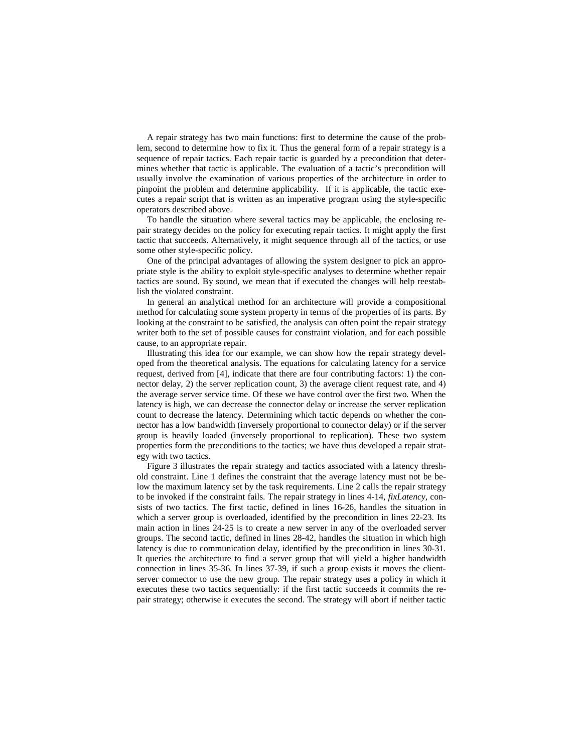A repair strategy has two main functions: first to determine the cause of the problem, second to determine how to fix it. Thus the general form of a repair strategy is a sequence of repair tactics. Each repair tactic is guarded by a precondition that determines whether that tactic is applicable. The evaluation of a tactic's precondition will usually involve the examination of various properties of the architecture in order to pinpoint the problem and determine applicability. If it is applicable, the tactic executes a repair script that is written as an imperative program using the style-specific operators described above.

To handle the situation where several tactics may be applicable, the enclosing repair strategy decides on the policy for executing repair tactics. It might apply the first tactic that succeeds. Alternatively, it might sequence through all of the tactics, or use some other style-specific policy.

One of the principal advantages of allowing the system designer to pick an appropriate style is the ability to exploit style-specific analyses to determine whether repair tactics are sound. By sound, we mean that if executed the changes will help reestablish the violated constraint.

In general an analytical method for an architecture will provide a compositional method for calculating some system property in terms of the properties of its parts. By looking at the constraint to be satisfied, the analysis can often point the repair strategy writer both to the set of possible causes for constraint violation, and for each possible cause, to an appropriate repair.

Illustrating this idea for our example, we can show how the repair strategy developed from the theoretical analysis. The equations for calculating latency for a service request, derived from [4], indicate that there are four contributing factors: 1) the connector delay, 2) the server replication count, 3) the average client request rate, and 4) the average server service time. Of these we have control over the first two. When the latency is high, we can decrease the connector delay or increase the server replication count to decrease the latency. Determining which tactic depends on whether the connector has a low bandwidth (inversely proportional to connector delay) or if the server group is heavily loaded (inversely proportional to replication). These two system properties form the preconditions to the tactics; we have thus developed a repair strategy with two tactics.

Figure 3 illustrates the repair strategy and tactics associated with a latency threshold constraint. Line 1 defines the constraint that the average latency must not be below the maximum latency set by the task requirements. Line 2 calls the repair strategy to be invoked if the constraint fails. The repair strategy in lines 4-14, *fixLatency*, consists of two tactics. The first tactic, defined in lines 16-26, handles the situation in which a server group is overloaded, identified by the precondition in lines 22-23. Its main action in lines 24-25 is to create a new server in any of the overloaded server groups. The second tactic, defined in lines 28-42, handles the situation in which high latency is due to communication delay, identified by the precondition in lines 30-31. It queries the architecture to find a server group that will yield a higher bandwidth connection in lines 35-36. In lines 37-39, if such a group exists it moves the clientserver connector to use the new group. The repair strategy uses a policy in which it executes these two tactics sequentially: if the first tactic succeeds it commits the repair strategy; otherwise it executes the second. The strategy will abort if neither tactic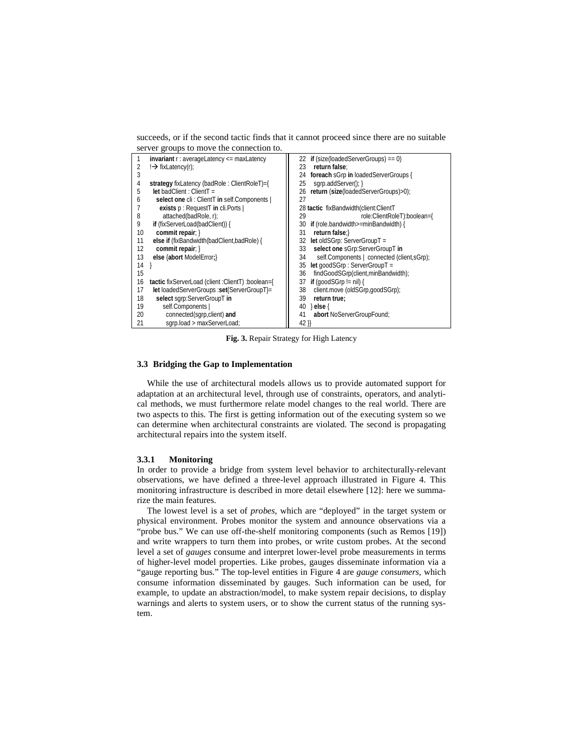succeeds, or if the second tactic finds that it cannot proceed since there are no suitable server groups to move the connection to.

|    | invariant r : averageLatency <= maxLatency          | if (size(loadedServerGroups) == $0$ )<br>22       |
|----|-----------------------------------------------------|---------------------------------------------------|
|    | $\mapsto$ fixLatency(r);                            | 23<br>return false:                               |
| 3  |                                                     | foreach sGrp in loadedServerGroups {<br>24        |
| 4  | strategy fixLatency (badRole: ClientRoleT)={        | sqrp.addServer(); }<br>25                         |
| 5  | let badClient : Client $T =$                        | 26 return (size(loadedServerGroups)>0);           |
| b  | select one cli: ClientT in self.Components          | 27                                                |
|    | exists p: RequestT in cli.Ports                     | 28 tactic fixBandwidth(client:ClientT             |
| 8  | attached(badRole, r);                               | role:ClientRoleT):boolean={<br>29                 |
| 9  | if (fixServerLoad(badClient)) {                     | if (role.bandwidth>=minBandwidth) {<br>30         |
| 10 | commit repair; }                                    | return false:<br>31                               |
| 11 | else if (fixBandwidth(badClient,badRole) {          | let oldSGrp: ServerGroupT =<br>32                 |
| 12 | commit repair; }                                    | select one sGrp:ServerGroupT in<br>33             |
| 13 | else {abort ModelError;}                            | self.Components   connected (client, sGrp);<br>34 |
| 14 |                                                     | let goodSGrp : ServerGroupT =<br>35               |
| 15 |                                                     | findGoodSGrp(client,minBandwidth);<br>36          |
| 16 | tactic fixServerLoad (client : ClientT) : boolean={ | if $(goodSGrp != nil)$ {<br>37                    |
| 17 | let loadedServerGroups :set{ServerGroupT}=          | client.move (oldSGrp,goodSGrp);<br>38             |
| 18 | select sgrp:ServerGroupT in                         | 39<br>return true:                                |
| 19 | self.Components                                     | 40<br>$\}$ else $\{$                              |
| 20 | connected(sqrp,client) and                          | abort NoServerGroupFound;<br>41                   |
| 21 | sqrp.load > maxServerLoad;                          | $42$ }}                                           |

**Fig. 3.** Repair Strategy for High Latency

### **3.3 Bridging the Gap to Implementation**

While the use of architectural models allows us to provide automated support for adaptation at an architectural level, through use of constraints, operators, and analytical methods, we must furthermore relate model changes to the real world. There are two aspects to this. The first is getting information out of the executing system so we can determine when architectural constraints are violated. The second is propagating architectural repairs into the system itself.

#### **3.3.1 Monitoring**

In order to provide a bridge from system level behavior to architecturally-relevant observations, we have defined a three-level approach illustrated in Figure 4. This monitoring infrastructure is described in more detail elsewhere [12]: here we summarize the main features.

The lowest level is a set of *probes*, which are "deployed" in the target system or physical environment. Probes monitor the system and announce observations via a "probe bus." We can use off-the-shelf monitoring components (such as Remos [19]) and write wrappers to turn them into probes, or write custom probes. At the second level a set of *gauges* consume and interpret lower-level probe measurements in terms of higher-level model properties. Like probes, gauges disseminate information via a "gauge reporting bus." The top-level entities in Figure 4 are *gauge consumers*, which consume information disseminated by gauges. Such information can be used, for example, to update an abstraction/model, to make system repair decisions, to display warnings and alerts to system users, or to show the current status of the running system.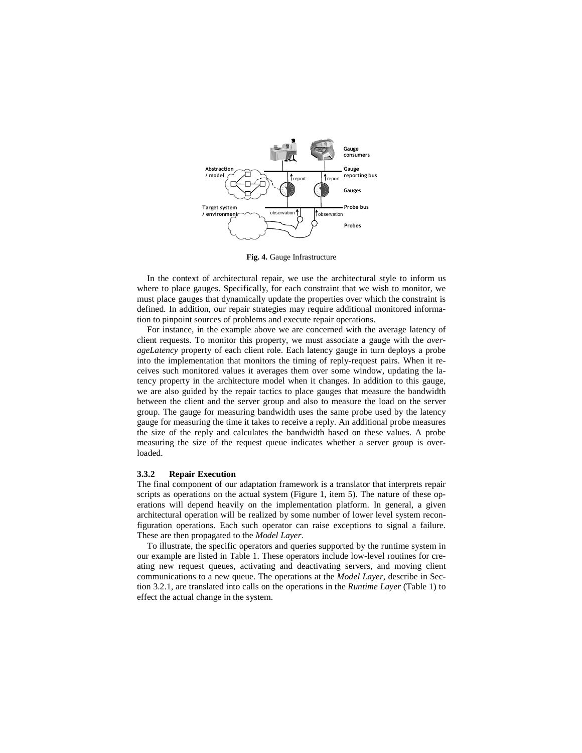

**Fig. 4.** Gauge Infrastructure

In the context of architectural repair, we use the architectural style to inform us where to place gauges. Specifically, for each constraint that we wish to monitor, we must place gauges that dynamically update the properties over which the constraint is defined. In addition, our repair strategies may require additional monitored information to pinpoint sources of problems and execute repair operations.

For instance, in the example above we are concerned with the average latency of client requests. To monitor this property, we must associate a gauge with the *averageLatency* property of each client role. Each latency gauge in turn deploys a probe into the implementation that monitors the timing of reply-request pairs. When it receives such monitored values it averages them over some window, updating the latency property in the architecture model when it changes. In addition to this gauge, we are also guided by the repair tactics to place gauges that measure the bandwidth between the client and the server group and also to measure the load on the server group. The gauge for measuring bandwidth uses the same probe used by the latency gauge for measuring the time it takes to receive a reply. An additional probe measures the size of the reply and calculates the bandwidth based on these values. A probe measuring the size of the request queue indicates whether a server group is overloaded.

#### **3.3.2 Repair Execution**

The final component of our adaptation framework is a translator that interprets repair scripts as operations on the actual system (Figure 1, item 5). The nature of these operations will depend heavily on the implementation platform. In general, a given architectural operation will be realized by some number of lower level system reconfiguration operations. Each such operator can raise exceptions to signal a failure. These are then propagated to the *Model Layer*.

To illustrate, the specific operators and queries supported by the runtime system in our example are listed in Table 1. These operators include low-level routines for creating new request queues, activating and deactivating servers, and moving client communications to a new queue. The operations at the *Model Layer*, describe in Section 3.2.1, are translated into calls on the operations in the *Runtime Layer* (Table 1) to effect the actual change in the system.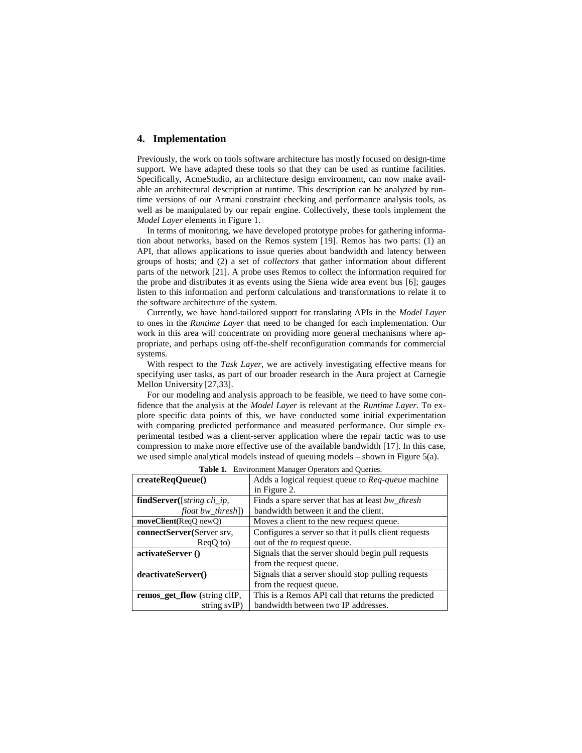# **4. Implementation**

Previously, the work on tools software architecture has mostly focused on design-time support. We have adapted these tools so that they can be used as runtime facilities. Specifically, AcmeStudio, an architecture design environment, can now make available an architectural description at runtime. This description can be analyzed by runtime versions of our Armani constraint checking and performance analysis tools, as well as be manipulated by our repair engine. Collectively, these tools implement the *Model Layer* elements in Figure 1.

In terms of monitoring, we have developed prototype probes for gathering information about networks, based on the Remos system [19]. Remos has two parts: (1) an API, that allows applications to issue queries about bandwidth and latency between groups of hosts; and (2) a set of *collectors* that gather information about different parts of the network [21]. A probe uses Remos to collect the information required for the probe and distributes it as events using the Siena wide area event bus [6]; gauges listen to this information and perform calculations and transformations to relate it to the software architecture of the system.

Currently, we have hand-tailored support for translating APIs in the *Model Layer* to ones in the *Runtime Layer* that need to be changed for each implementation. Our work in this area will concentrate on providing more general mechanisms where appropriate, and perhaps using off-the-shelf reconfiguration commands for commercial systems.

With respect to the *Task Layer*, we are actively investigating effective means for specifying user tasks, as part of our broader research in the Aura project at Carnegie Mellon University [27,33].

For our modeling and analysis approach to be feasible, we need to have some confidence that the analysis at the *Model Layer* is relevant at the *Runtime Layer*. To explore specific data points of this, we have conducted some initial experimentation with comparing predicted performance and measured performance. Our simple experimental testbed was a client-server application where the repair tactic was to use compression to make more effective use of the available bandwidth [17]. In this case, we used simple analytical models instead of queuing models  $-$  shown in Figure 5(a).

| <b>Table 1.</b> Environment Manager Operators and Queries. |                                                      |  |
|------------------------------------------------------------|------------------------------------------------------|--|
| createReqQueue()                                           | Adds a logical request queue to Req-queue machine    |  |
|                                                            | in Figure 2.                                         |  |
| <b>findServer</b> ([string cli_ip,                         | Finds a spare server that has at least bw_thresh     |  |
| float bw_thresh])                                          | bandwidth between it and the client.                 |  |
| moveClient(ReqQ newQ)                                      | Moves a client to the new request queue.             |  |
| connectServer(Server srv,                                  | Configures a server so that it pulls client requests |  |
| RegO to)                                                   | out of the <i>to</i> request queue.                  |  |
| activateServer()                                           | Signals that the server should begin pull requests   |  |
|                                                            | from the request queue.                              |  |
| deactivateServer()                                         | Signals that a server should stop pulling requests   |  |
|                                                            | from the request queue.                              |  |
| remos_get_flow (string clIP,                               | This is a Remos API call that returns the predicted  |  |
| string svIP)                                               | bandwidth between two IP addresses.                  |  |

Table 1. Environment Manager Operators and Ou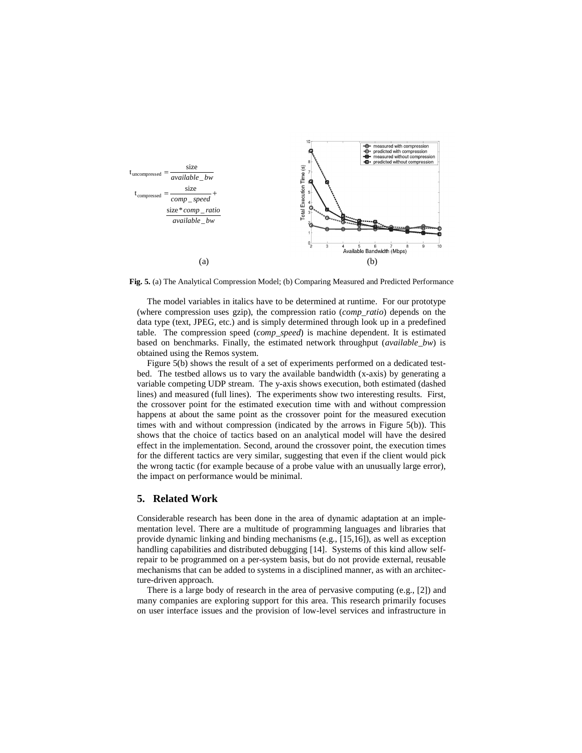

**Fig. 5.** (a) The Analytical Compression Model; (b) Comparing Measured and Predicted Performance

The model variables in italics have to be determined at runtime. For our prototype (where compression uses gzip), the compression ratio (*comp\_ratio*) depends on the data type (text, JPEG, etc.) and is simply determined through look up in a predefined table. The compression speed (*comp\_speed*) is machine dependent. It is estimated based on benchmarks. Finally, the estimated network throughput (*available\_bw*) is obtained using the Remos system.

Figure 5(b) shows the result of a set of experiments performed on a dedicated testbed. The testbed allows us to vary the available bandwidth (x-axis) by generating a variable competing UDP stream. The y-axis shows execution, both estimated (dashed lines) and measured (full lines). The experiments show two interesting results. First, the crossover point for the estimated execution time with and without compression happens at about the same point as the crossover point for the measured execution times with and without compression (indicated by the arrows in Figure 5(b)). This shows that the choice of tactics based on an analytical model will have the desired effect in the implementation. Second, around the crossover point, the execution times for the different tactics are very similar, suggesting that even if the client would pick the wrong tactic (for example because of a probe value with an unusually large error), the impact on performance would be minimal.

### **5. Related Work**

Considerable research has been done in the area of dynamic adaptation at an implementation level. There are a multitude of programming languages and libraries that provide dynamic linking and binding mechanisms (e.g., [15,16]), as well as exception handling capabilities and distributed debugging [14]. Systems of this kind allow selfrepair to be programmed on a per-system basis, but do not provide external, reusable mechanisms that can be added to systems in a disciplined manner, as with an architecture-driven approach.

There is a large body of research in the area of pervasive computing (e.g., [2]) and many companies are exploring support for this area. This research primarily focuses on user interface issues and the provision of low-level services and infrastructure in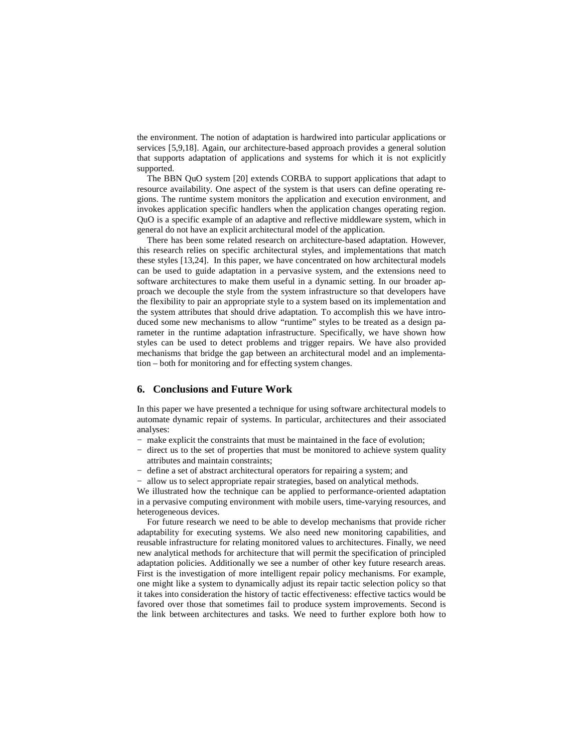the environment. The notion of adaptation is hardwired into particular applications or services [5,9,18]. Again, our architecture-based approach provides a general solution that supports adaptation of applications and systems for which it is not explicitly supported.

The BBN QuO system [20] extends CORBA to support applications that adapt to resource availability. One aspect of the system is that users can define operating regions. The runtime system monitors the application and execution environment, and invokes application specific handlers when the application changes operating region. QuO is a specific example of an adaptive and reflective middleware system, which in general do not have an explicit architectural model of the application.

There has been some related research on architecture-based adaptation. However, this research relies on specific architectural styles, and implementations that match these styles [13,24]. In this paper, we have concentrated on how architectural models can be used to guide adaptation in a pervasive system, and the extensions need to software architectures to make them useful in a dynamic setting. In our broader approach we decouple the style from the system infrastructure so that developers have the flexibility to pair an appropriate style to a system based on its implementation and the system attributes that should drive adaptation. To accomplish this we have introduced some new mechanisms to allow "runtime" styles to be treated as a design parameter in the runtime adaptation infrastructure. Specifically, we have shown how styles can be used to detect problems and trigger repairs. We have also provided mechanisms that bridge the gap between an architectural model and an implementation – both for monitoring and for effecting system changes.

### **6. Conclusions and Future Work**

In this paper we have presented a technique for using software architectural models to automate dynamic repair of systems. In particular, architectures and their associated analyses:

- − make explicit the constraints that must be maintained in the face of evolution;
- − direct us to the set of properties that must be monitored to achieve system quality attributes and maintain constraints;
- − define a set of abstract architectural operators for repairing a system; and
- allow us to select appropriate repair strategies, based on analytical methods.

We illustrated how the technique can be applied to performance-oriented adaptation in a pervasive computing environment with mobile users, time-varying resources, and heterogeneous devices.

For future research we need to be able to develop mechanisms that provide richer adaptability for executing systems. We also need new monitoring capabilities, and reusable infrastructure for relating monitored values to architectures. Finally, we need new analytical methods for architecture that will permit the specification of principled adaptation policies. Additionally we see a number of other key future research areas. First is the investigation of more intelligent repair policy mechanisms. For example, one might like a system to dynamically adjust its repair tactic selection policy so that it takes into consideration the history of tactic effectiveness: effective tactics would be favored over those that sometimes fail to produce system improvements. Second is the link between architectures and tasks. We need to further explore both how to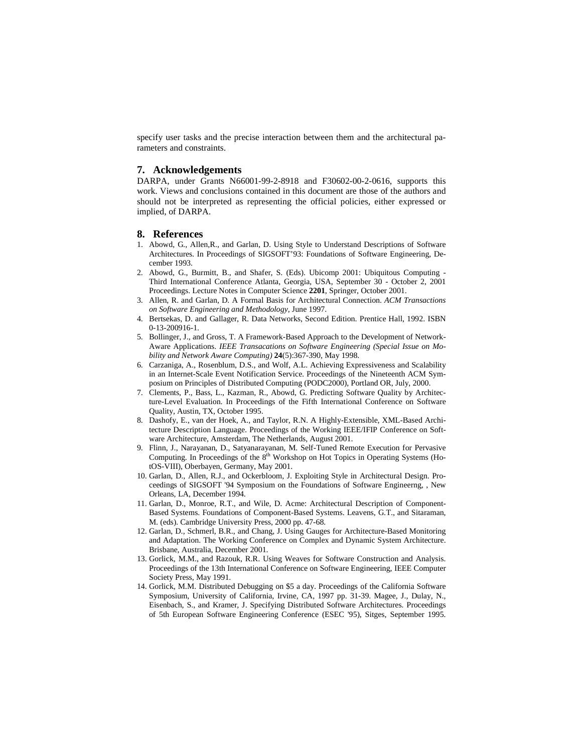specify user tasks and the precise interaction between them and the architectural parameters and constraints.

#### **7. Acknowledgements**

DARPA, under Grants N66001-99-2-8918 and F30602-00-2-0616, supports this work. Views and conclusions contained in this document are those of the authors and should not be interpreted as representing the official policies, either expressed or implied, of DARPA.

### **8. References**

- 1. Abowd, G., Allen,R., and Garlan, D. Using Style to Understand Descriptions of Software Architectures. In Proceedings of SIGSOFT'93: Foundations of Software Engineering, December 1993.
- 2. Abowd, G., Burmitt, B., and Shafer, S. (Eds). Ubicomp 2001: Ubiquitous Computing Third International Conference Atlanta, Georgia, USA, September 30 - October 2, 2001 Proceedings. Lecture Notes in Computer Science **2201**, Springer, October 2001.
- 3. Allen, R. and Garlan, D. A Formal Basis for Architectural Connection. *ACM Transactions on Software Engineering and Methodology*, June 1997.
- 4. Bertsekas, D. and Gallager, R. Data Networks, Second Edition. Prentice Hall, 1992. ISBN 0-13-200916-1.
- 5. Bollinger, J., and Gross, T. A Framework-Based Approach to the Development of Network-Aware Applications. *IEEE Transacations on Software Engineering (Special Issue on Mobility and Network Aware Computing)* **24**(5):367-390, May 1998.
- 6. Carzaniga, A., Rosenblum, D.S., and Wolf, A.L. Achieving Expressiveness and Scalability in an Internet-Scale Event Notification Service. Proceedings of the Nineteenth ACM Symposium on Principles of Distributed Computing (PODC2000), Portland OR, July, 2000.
- 7. Clements, P., Bass, L., Kazman, R., Abowd, G. Predicting Software Quality by Architecture-Level Evaluation. In Proceedings of the Fifth International Conference on Software Quality, Austin, TX, October 1995.
- 8. Dashofy, E., van der Hoek, A., and Taylor, R.N. A Highly-Extensible, XML-Based Architecture Description Language. Proceedings of the Working IEEE/IFIP Conference on Software Architecture, Amsterdam, The Netherlands, August 2001.
- 9. Flinn, J., Narayanan, D., Satyanarayanan, M. Self-Tuned Remote Execution for Pervasive Computing. In Proceedings of the  $8<sup>th</sup>$  Workshop on Hot Topics in Operating Systems (HotOS-VIII), Oberbayen, Germany, May 2001.
- 10. Garlan, D., Allen, R.J., and Ockerbloom, J. Exploiting Style in Architectural Design. Proceedings of SIGSOFT '94 Symposium on the Foundations of Software Engineerng, , New Orleans, LA, December 1994.
- 11. Garlan, D., Monroe, R.T., and Wile, D. Acme: Architectural Description of Component-Based Systems. Foundations of Component-Based Systems. Leavens, G.T., and Sitaraman, M. (eds). Cambridge University Press, 2000 pp. 47-68.
- 12. Garlan, D., Schmerl, B.R., and Chang, J. Using Gauges for Architecture-Based Monitoring and Adaptation. The Working Conference on Complex and Dynamic System Architecture. Brisbane, Australia, December 2001.
- 13. Gorlick, M.M., and Razouk, R.R. Using Weaves for Software Construction and Analysis. Proceedings of the 13th International Conference on Software Engineering, IEEE Computer Society Press, May 1991.
- 14. Gorlick, M.M. Distributed Debugging on \$5 a day. Proceedings of the California Software Symposium, University of California, Irvine, CA, 1997 pp. 31-39. Magee, J., Dulay, N., Eisenbach, S., and Kramer, J. Specifying Distributed Software Architectures. Proceedings of 5th European Software Engineering Conference (ESEC '95), Sitges, September 1995.